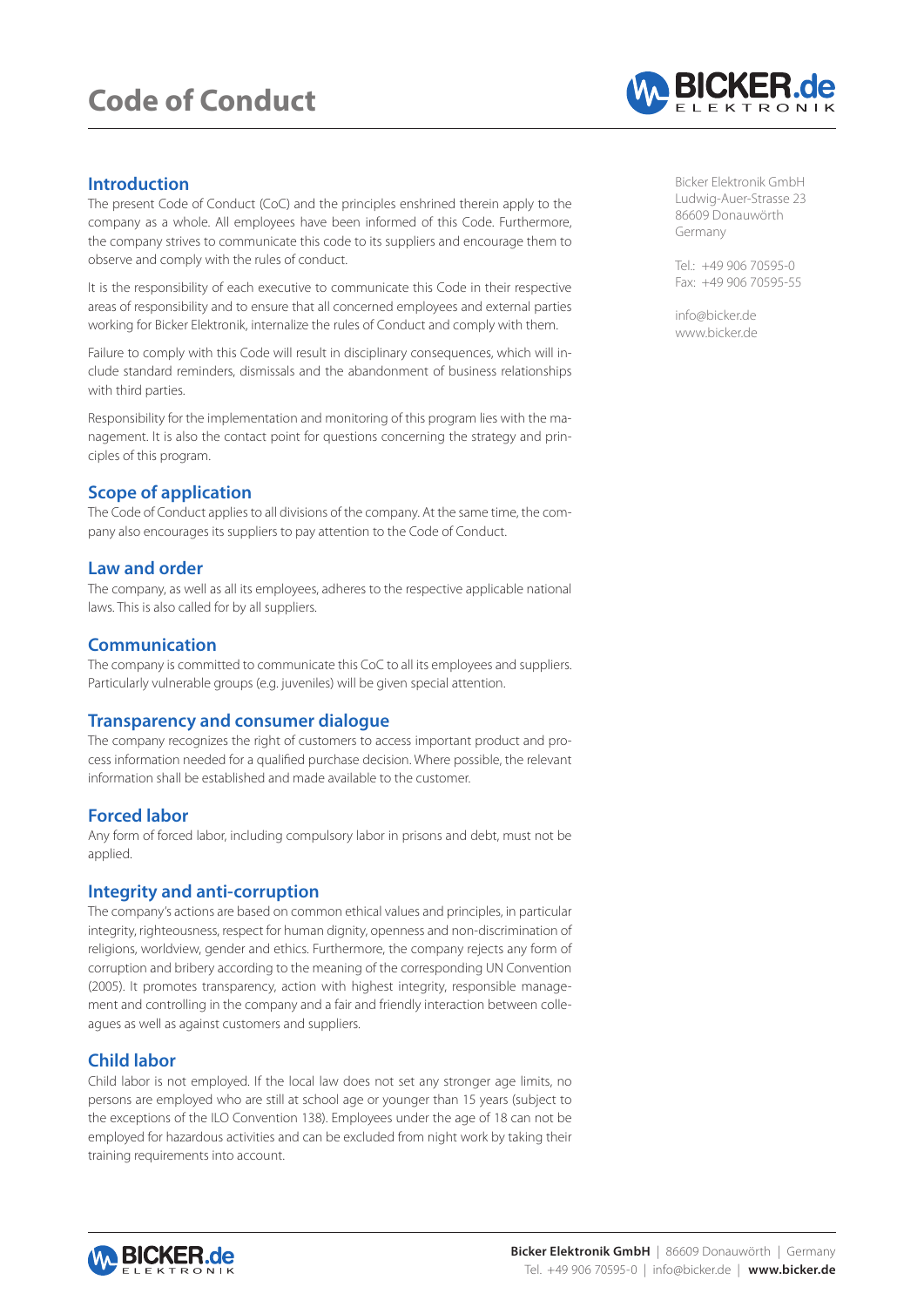# **Code of Conduct**



## **Introduction**

The present Code of Conduct (CoC) and the principles enshrined therein apply to the company as a whole. All employees have been informed of this Code. Furthermore, the company strives to communicate this code to its suppliers and encourage them to observe and comply with the rules of conduct.

It is the responsibility of each executive to communicate this Code in their respective areas of responsibility and to ensure that all concerned employees and external parties working for Bicker Elektronik, internalize the rules of Conduct and comply with them.

Failure to comply with this Code will result in disciplinary consequences, which will include standard reminders, dismissals and the abandonment of business relationships with third parties.

Responsibility for the implementation and monitoring of this program lies with the management. It is also the contact point for questions concerning the strategy and principles of this program.

## **Scope of application**

The Code of Conduct applies to all divisions of the company. At the same time, the company also encourages its suppliers to pay attention to the Code of Conduct.

## **Law and order**

The company, as well as all its employees, adheres to the respective applicable national laws. This is also called for by all suppliers.

## **Communication**

The company is committed to communicate this CoC to all its employees and suppliers. Particularly vulnerable groups (e.g. juveniles) will be given special attention.

### **Transparency and consumer dialogue**

The company recognizes the right of customers to access important product and process information needed for a qualified purchase decision. Where possible, the relevant information shall be established and made available to the customer.

### **Forced labor**

Any form of forced labor, including compulsory labor in prisons and debt, must not be applied.

### **Integrity and anti-corruption**

The company's actions are based on common ethical values and principles, in particular integrity, righteousness, respect for human dignity, openness and non-discrimination of religions, worldview, gender and ethics. Furthermore, the company rejects any form of corruption and bribery according to the meaning of the corresponding UN Convention (2005). It promotes transparency, action with highest integrity, responsible management and controlling in the company and a fair and friendly interaction between colleagues as well as against customers and suppliers.

## **Child labor**

Child labor is not employed. If the local law does not set any stronger age limits, no persons are employed who are still at school age or younger than 15 years (subject to the exceptions of the ILO Convention 138). Employees under the age of 18 can not be employed for hazardous activities and can be excluded from night work by taking their training requirements into account.

Bicker Elektronik GmbH Ludwig-Auer-Strasse 23 86609 Donauwörth Germany

Tel.: +49 906 70595-0 Fax: +49 906 70595-55

info@bicker.de www.bicker.de